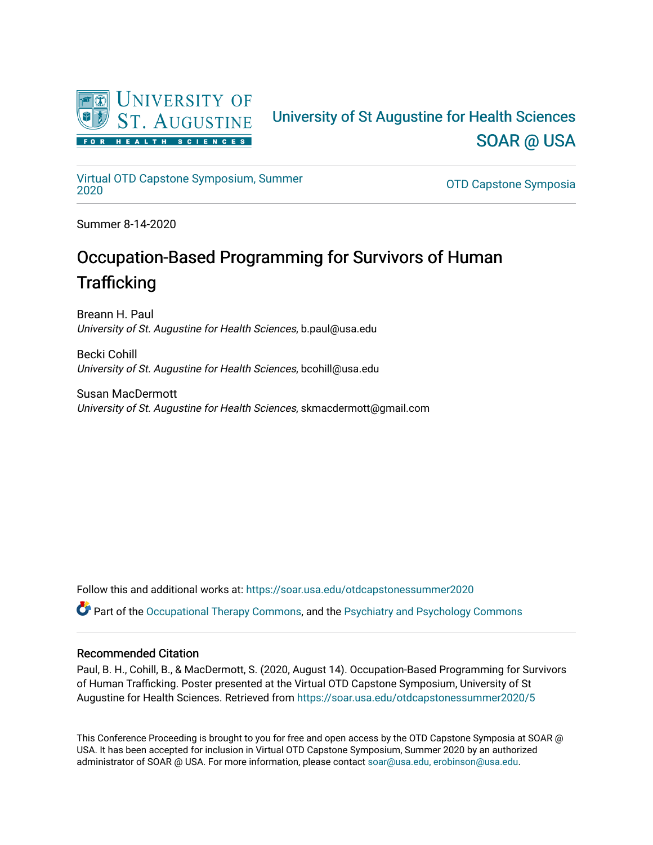

### University of St Augustine for Health Sciences [SOAR @ USA](https://soar.usa.edu/)

## [Virtual OTD Capstone Symposium, Summer](https://soar.usa.edu/otdcapstonessummer2020)

OTD Capstone Symposia

Summer 8-14-2020

### Occupation-Based Programming for Survivors of Human **Trafficking**

Breann H. Paul University of St. Augustine for Health Sciences, b.paul@usa.edu

Becki Cohill University of St. Augustine for Health Sciences, bcohill@usa.edu

Susan MacDermott University of St. Augustine for Health Sciences, skmacdermott@gmail.com

Follow this and additional works at: [https://soar.usa.edu/otdcapstonessummer2020](https://soar.usa.edu/otdcapstonessummer2020?utm_source=soar.usa.edu%2Fotdcapstonessummer2020%2F5&utm_medium=PDF&utm_campaign=PDFCoverPages)  Part of the [Occupational Therapy Commons,](http://network.bepress.com/hgg/discipline/752?utm_source=soar.usa.edu%2Fotdcapstonessummer2020%2F5&utm_medium=PDF&utm_campaign=PDFCoverPages) and the [Psychiatry and Psychology Commons](http://network.bepress.com/hgg/discipline/908?utm_source=soar.usa.edu%2Fotdcapstonessummer2020%2F5&utm_medium=PDF&utm_campaign=PDFCoverPages)

### Recommended Citation

Paul, B. H., Cohill, B., & MacDermott, S. (2020, August 14). Occupation-Based Programming for Survivors of Human Trafficking. Poster presented at the Virtual OTD Capstone Symposium, University of St Augustine for Health Sciences. Retrieved from [https://soar.usa.edu/otdcapstonessummer2020/5](https://soar.usa.edu/otdcapstonessummer2020/5?utm_source=soar.usa.edu%2Fotdcapstonessummer2020%2F5&utm_medium=PDF&utm_campaign=PDFCoverPages) 

This Conference Proceeding is brought to you for free and open access by the OTD Capstone Symposia at SOAR @ USA. It has been accepted for inclusion in Virtual OTD Capstone Symposium, Summer 2020 by an authorized administrator of SOAR @ USA. For more information, please contact [soar@usa.edu, erobinson@usa.edu](mailto:soar@usa.edu,%20erobinson@usa.edu).